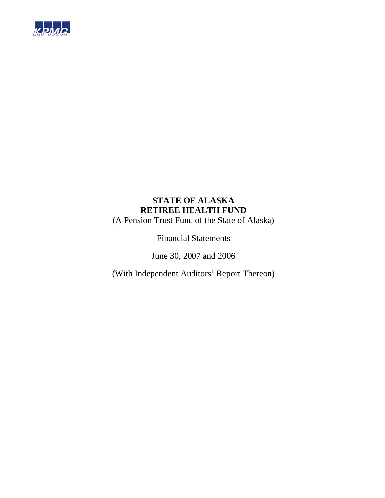

(A Pension Trust Fund of the State of Alaska)

Financial Statements

June 30, 2007 and 2006

(With Independent Auditors' Report Thereon)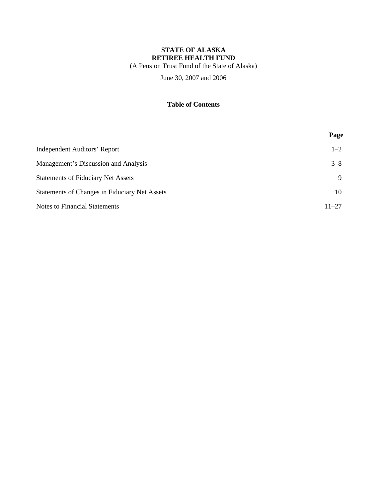(A Pension Trust Fund of the State of Alaska)

June 30, 2007 and 2006

### **Table of Contents**

|                                               | Page      |
|-----------------------------------------------|-----------|
| Independent Auditors' Report                  | $1 - 2$   |
| Management's Discussion and Analysis          | $3 - 8$   |
| <b>Statements of Fiduciary Net Assets</b>     | 9         |
| Statements of Changes in Fiduciary Net Assets | 10        |
| <b>Notes to Financial Statements</b>          | $11 - 27$ |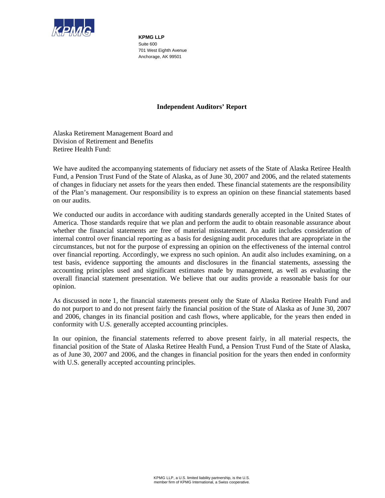

**KPMG LLP**  Suite 600 701 West Eighth Avenue Anchorage, AK 99501

### **Independent Auditors' Report**

Alaska Retirement Management Board and Division of Retirement and Benefits Retiree Health Fund:

We have audited the accompanying statements of fiduciary net assets of the State of Alaska Retiree Health Fund, a Pension Trust Fund of the State of Alaska, as of June 30, 2007 and 2006, and the related statements of changes in fiduciary net assets for the years then ended. These financial statements are the responsibility of the Plan's management. Our responsibility is to express an opinion on these financial statements based on our audits.

We conducted our audits in accordance with auditing standards generally accepted in the United States of America. Those standards require that we plan and perform the audit to obtain reasonable assurance about whether the financial statements are free of material misstatement. An audit includes consideration of internal control over financial reporting as a basis for designing audit procedures that are appropriate in the circumstances, but not for the purpose of expressing an opinion on the effectiveness of the internal control over financial reporting. Accordingly, we express no such opinion. An audit also includes examining, on a test basis, evidence supporting the amounts and disclosures in the financial statements, assessing the accounting principles used and significant estimates made by management, as well as evaluating the overall financial statement presentation. We believe that our audits provide a reasonable basis for our opinion.

As discussed in note 1, the financial statements present only the State of Alaska Retiree Health Fund and do not purport to and do not present fairly the financial position of the State of Alaska as of June 30, 2007 and 2006, changes in its financial position and cash flows, where applicable, for the years then ended in conformity with U.S. generally accepted accounting principles.

In our opinion, the financial statements referred to above present fairly, in all material respects, the financial position of the State of Alaska Retiree Health Fund, a Pension Trust Fund of the State of Alaska, as of June 30, 2007 and 2006, and the changes in financial position for the years then ended in conformity with U.S. generally accepted accounting principles.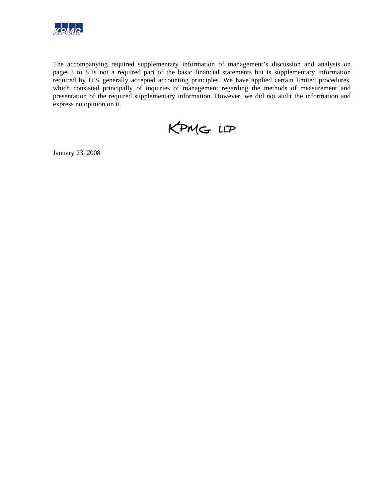

The accompanying required supplementary information of management's discussion and analysis on pages 3 to 8 is not a required part of the basic financial statements but is supplementary information required by U.S. generally accepted accounting principles. We have applied certain limited procedures, which consisted principally of inquiries of management regarding the methods of measurement and presentation of the required supplementary information. However, we did not audit the information and express no opinion on it.

KPMG LLP

January 23, 2008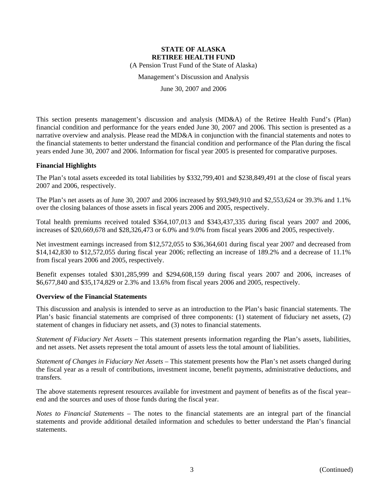(A Pension Trust Fund of the State of Alaska)

Management's Discussion and Analysis

June 30, 2007 and 2006

This section presents management's discussion and analysis (MD&A) of the Retiree Health Fund's (Plan) financial condition and performance for the years ended June 30, 2007 and 2006. This section is presented as a narrative overview and analysis. Please read the MD&A in conjunction with the financial statements and notes to the financial statements to better understand the financial condition and performance of the Plan during the fiscal years ended June 30, 2007 and 2006. Information for fiscal year 2005 is presented for comparative purposes.

#### **Financial Highlights**

The Plan's total assets exceeded its total liabilities by \$332,799,401 and \$238,849,491 at the close of fiscal years 2007 and 2006, respectively.

The Plan's net assets as of June 30, 2007 and 2006 increased by \$93,949,910 and \$2,553,624 or 39.3% and 1.1% over the closing balances of those assets in fiscal years 2006 and 2005, respectively.

Total health premiums received totaled \$364,107,013 and \$343,437,335 during fiscal years 2007 and 2006, increases of \$20,669,678 and \$28,326,473 or 6.0% and 9.0% from fiscal years 2006 and 2005, respectively.

Net investment earnings increased from \$12,572,055 to \$36,364,601 during fiscal year 2007 and decreased from \$14,142,830 to \$12,572,055 during fiscal year 2006; reflecting an increase of 189.2% and a decrease of 11.1% from fiscal years 2006 and 2005, respectively.

Benefit expenses totaled \$301,285,999 and \$294,608,159 during fiscal years 2007 and 2006, increases of \$6,677,840 and \$35,174,829 or 2.3% and 13.6% from fiscal years 2006 and 2005, respectively.

#### **Overview of the Financial Statements**

This discussion and analysis is intended to serve as an introduction to the Plan's basic financial statements. The Plan's basic financial statements are comprised of three components: (1) statement of fiduciary net assets, (2) statement of changes in fiduciary net assets, and (3) notes to financial statements.

*Statement of Fiduciary Net Assets* – This statement presents information regarding the Plan's assets, liabilities, and net assets. Net assets represent the total amount of assets less the total amount of liabilities.

*Statement of Changes in Fiduciary Net Assets* – This statement presents how the Plan's net assets changed during the fiscal year as a result of contributions, investment income, benefit payments, administrative deductions, and transfers.

The above statements represent resources available for investment and payment of benefits as of the fiscal year– end and the sources and uses of those funds during the fiscal year.

*Notes to Financial Statements* – The notes to the financial statements are an integral part of the financial statements and provide additional detailed information and schedules to better understand the Plan's financial statements.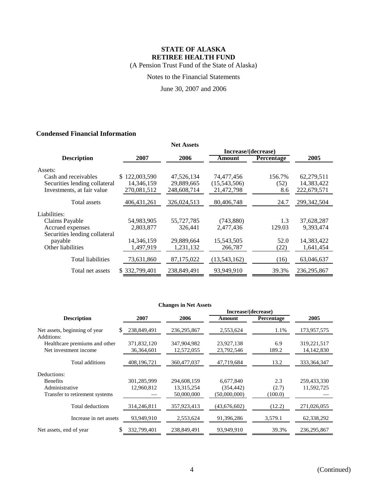(A Pension Trust Fund of the State of Alaska)

Notes to the Financial Statements

June 30, 2007 and 2006

### **Condensed Financial Information**

|                               |                   | <b>Net Assets</b> |                     |                   |               |
|-------------------------------|-------------------|-------------------|---------------------|-------------------|---------------|
|                               |                   |                   | Increase/(decrease) |                   |               |
| <b>Description</b>            | 2007              | 2006              | Amount              | <b>Percentage</b> | 2005          |
| Assets:                       |                   |                   |                     |                   |               |
| Cash and receivables          | 122,003,590<br>S. | 47,526,134        | 74,477,456          | 156.7%            | 62,279,511    |
| Securities lending collateral | 14,346,159        | 29,889,665        | (15,543,506)        | (52)              | 14,383,422    |
| Investments, at fair value    | 270,081,512       | 248,608,714       | 21,472,798          | 8.6               | 222,679,571   |
| Total assets                  | 406, 431, 261     | 326,024,513       | 80,406,748          | 24.7              | 299, 342, 504 |
| Liabilities:                  |                   |                   |                     |                   |               |
| Claims Payable                | 54,983,905        | 55,727,785        | (743,880)           | 1.3               | 37,628,287    |
| Accrued expenses              | 2,803,877         | 326,441           | 2.477.436           | 129.03            | 9.393.474     |
| Securities lending collateral |                   |                   |                     |                   |               |
| payable                       | 14,346,159        | 29,889,664        | 15,543,505          | 52.0              | 14,383,422    |
| Other liabilities             | 1,497,919         | 1,231,132         | 266,787             | (22)              | 1,641,454     |
| <b>Total liabilities</b>      | 73,631,860        | 87,175,022        | (13,543,162)        | (16)              | 63,046,637    |
| Total net assets              | \$332,799,401     | 238,849,491       | 93.949.910          | 39.3%             | 236, 295, 867 |

| <b>Changes in Net Assets</b> |  |  |  |
|------------------------------|--|--|--|
|------------------------------|--|--|--|

|                                             |              |               |              | Increase/(decrease) |               |  |  |
|---------------------------------------------|--------------|---------------|--------------|---------------------|---------------|--|--|
| <b>Description</b>                          | 2007         | 2006          | Amount       | Percentage          | 2005          |  |  |
| Net assets, beginning of year<br>S.         | 238,849,491  | 236, 295, 867 | 2,553,624    | 1.1%                | 173,957,575   |  |  |
| Additions:<br>Healthcare premiums and other | 371,832,120  | 347,904,982   | 23,927,138   | 6.9                 | 319,221,517   |  |  |
| Net investment income                       | 36, 364, 601 | 12,572,055    | 23,792,546   | 189.2               | 14, 142, 830  |  |  |
| Total additions                             | 408,196,721  | 360,477,037   | 47,719,684   | 13.2                | 333, 364, 347 |  |  |
| Deductions:                                 |              |               |              |                     |               |  |  |
| <b>Benefits</b>                             | 301,285,999  | 294,608,159   | 6,677,840    | 2.3                 | 259,433,330   |  |  |
| Administrative                              | 12,960,812   | 13,315,254    | (354, 442)   | (2.7)               | 11,592,725    |  |  |
| Transfer to retirement systems              |              | 50,000,000    | (50,000,000) | (100.0)             |               |  |  |
| Total deductions                            | 314,246,811  | 357,923,413   | (43,676,602) | (12.2)              | 271,026,055   |  |  |
| Increase in net assets                      | 93,949,910   | 2,553,624     | 91,396,286   | 3,579.1             | 62,338,292    |  |  |
| Net assets, end of year<br>S                | 332,799,401  | 238,849,491   | 93,949,910   | 39.3%               | 236,295,867   |  |  |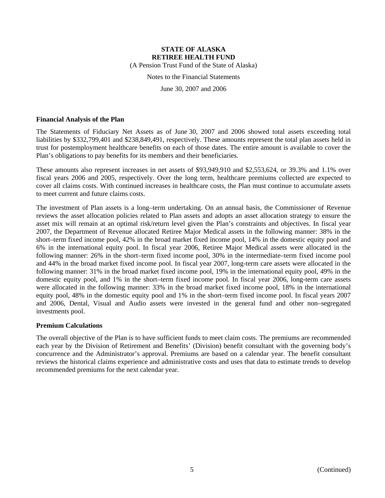(A Pension Trust Fund of the State of Alaska)

Notes to the Financial Statements

June 30, 2007 and 2006

#### **Financial Analysis of the Plan**

The Statements of Fiduciary Net Assets as of June 30, 2007 and 2006 showed total assets exceeding total liabilities by \$332,799,401 and \$238,849,491, respectively. These amounts represent the total plan assets held in trust for postemployment healthcare benefits on each of those dates. The entire amount is available to cover the Plan's obligations to pay benefits for its members and their beneficiaries.

These amounts also represent increases in net assets of \$93,949,910 and \$2,553,624, or 39.3% and 1.1% over fiscal years 2006 and 2005, respectively. Over the long term, healthcare premiums collected are expected to cover all claims costs. With continued increases in healthcare costs, the Plan must continue to accumulate assets to meet current and future claims costs.

The investment of Plan assets is a long–term undertaking. On an annual basis, the Commissioner of Revenue reviews the asset allocation policies related to Plan assets and adopts an asset allocation strategy to ensure the asset mix will remain at an optimal risk/return level given the Plan's constraints and objectives. In fiscal year 2007, the Department of Revenue allocated Retiree Major Medical assets in the following manner: 38% in the short–term fixed income pool, 42% in the broad market fixed income pool, 14% in the domestic equity pool and 6% in the international equity pool. In fiscal year 2006, Retiree Major Medical assets were allocated in the following manner: 26% in the short–term fixed income pool, 30% in the intermediate–term fixed income pool and 44% in the broad market fixed income pool. In fiscal year 2007, long-term care assets were allocated in the following manner: 31% in the broad market fixed income pool, 19% in the international equity pool, 49% in the domestic equity pool, and 1% in the short–term fixed income pool. In fiscal year 2006, long-term care assets were allocated in the following manner: 33% in the broad market fixed income pool, 18% in the international equity pool, 48% in the domestic equity pool and 1% in the short–term fixed income pool. In fiscal years 2007 and 2006, Dental, Visual and Audio assets were invested in the general fund and other non–segregated investments pool.

#### **Premium Calculations**

The overall objective of the Plan is to have sufficient funds to meet claim costs. The premiums are recommended each year by the Division of Retirement and Benefits' (Division) benefit consultant with the governing body's concurrence and the Administrator's approval. Premiums are based on a calendar year. The benefit consultant reviews the historical claims experience and administrative costs and uses that data to estimate trends to develop recommended premiums for the next calendar year.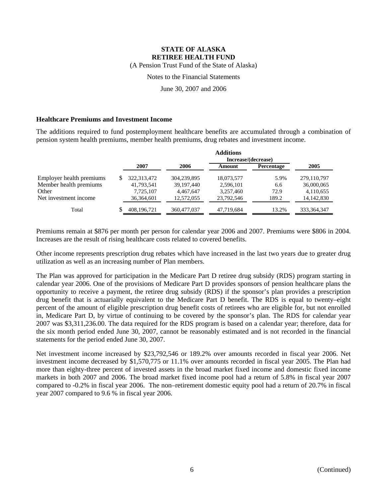(A Pension Trust Fund of the State of Alaska)

### Notes to the Financial Statements

June 30, 2007 and 2006

#### **Healthcare Premiums and Investment Income**

The additions required to fund postemployment healthcare benefits are accumulated through a combination of pension system health premiums, member health premiums, drug rebates and investment income.

|                          | <b>Additions</b><br>Increase/(decrease) |               |             |            |            |               |
|--------------------------|-----------------------------------------|---------------|-------------|------------|------------|---------------|
|                          |                                         | 2007          | 2006        | Amount     | Percentage | 2005          |
| Employer health premiums |                                         | 322, 313, 472 | 304,239,895 | 18,073,577 | 5.9%       | 279,110,797   |
| Member health premiums   |                                         | 41,793,541    | 39,197,440  | 2,596,101  | 6.6        | 36,000,065    |
| Other                    |                                         | 7,725,107     | 4.467.647   | 3,257,460  | 72.9       | 4,110,655     |
| Net investment income    |                                         | 36,364,601    | 12,572,055  | 23,792,546 | 189.2      | 14, 142, 830  |
| Total                    |                                         | 408,196,721   | 360,477,037 | 47,719,684 | 13.2%      | 333, 364, 347 |

Premiums remain at \$876 per month per person for calendar year 2006 and 2007. Premiums were \$806 in 2004. Increases are the result of rising healthcare costs related to covered benefits.

Other income represents prescription drug rebates which have increased in the last two years due to greater drug utilization as well as an increasing number of Plan members.

The Plan was approved for participation in the Medicare Part D retiree drug subsidy (RDS) program starting in calendar year 2006. One of the provisions of Medicare Part D provides sponsors of pension healthcare plans the opportunity to receive a payment, the retiree drug subsidy (RDS) if the sponsor's plan provides a prescription drug benefit that is actuarially equivalent to the Medicare Part D benefit. The RDS is equal to twenty–eight percent of the amount of eligible prescription drug benefit costs of retirees who are eligible for, but not enrolled in, Medicare Part D, by virtue of continuing to be covered by the sponsor's plan. The RDS for calendar year 2007 was \$3,311,236.00. The data required for the RDS program is based on a calendar year; therefore, data for the six month period ended June 30, 2007, cannot be reasonably estimated and is not recorded in the financial statements for the period ended June 30, 2007.

Net investment income increased by \$23,792,546 or 189.2% over amounts recorded in fiscal year 2006. Net investment income decreased by \$1,570,775 or 11.1% over amounts recorded in fiscal year 2005. The Plan had more than eighty-three percent of invested assets in the broad market fixed income and domestic fixed income markets in both 2007 and 2006. The broad market fixed income pool had a return of 5.8% in fiscal year 2007 compared to -0.2% in fiscal year 2006. The non–retirement domestic equity pool had a return of 20.7% in fiscal year 2007 compared to 9.6 % in fiscal year 2006.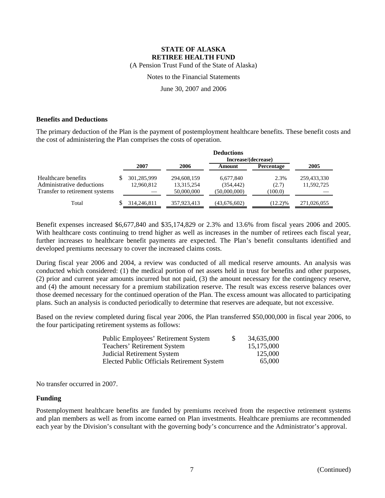(A Pension Trust Fund of the State of Alaska)

Notes to the Financial Statements

June 30, 2007 and 2006

#### **Benefits and Deductions**

The primary deduction of the Plan is the payment of postemployment healthcare benefits. These benefit costs and the cost of administering the Plan comprises the costs of operation.

|                                | <b>Deductions</b> |                     |             |              |                   |             |  |
|--------------------------------|-------------------|---------------------|-------------|--------------|-------------------|-------------|--|
|                                |                   | Increase/(decrease) |             |              |                   |             |  |
|                                |                   | 2007                | 2006        | Amount       | <b>Percentage</b> | 2005        |  |
| Healthcare benefits            |                   | 301,285,999         | 294,608,159 | 6,677,840    | 2.3%              | 259,433,330 |  |
| Administrative deductions      |                   | 12,960,812          | 13,315,254  | (354, 442)   | (2.7)             | 11,592,725  |  |
| Transfer to retirement systems |                   |                     | 50,000,000  | (50,000,000) | (100.0)           |             |  |
| Total                          |                   | 314,246,811         | 357,923,413 | (43,676,602) | $(12.2)\%$        | 271,026,055 |  |

Benefit expenses increased \$6,677,840 and \$35,174,829 or 2.3% and 13.6% from fiscal years 2006 and 2005. With healthcare costs continuing to trend higher as well as increases in the number of retirees each fiscal year, further increases to healthcare benefit payments are expected. The Plan's benefit consultants identified and developed premiums necessary to cover the increased claims costs.

During fiscal year 2006 and 2004, a review was conducted of all medical reserve amounts. An analysis was conducted which considered: (1) the medical portion of net assets held in trust for benefits and other purposes, (2) prior and current year amounts incurred but not paid, (3) the amount necessary for the contingency reserve, and (4) the amount necessary for a premium stabilization reserve. The result was excess reserve balances over those deemed necessary for the continued operation of the Plan. The excess amount was allocated to participating plans. Such an analysis is conducted periodically to determine that reserves are adequate, but not excessive.

Based on the review completed during fiscal year 2006, the Plan transferred \$50,000,000 in fiscal year 2006, to the four participating retirement systems as follows:

| Public Employees' Retirement System        | <sup>8</sup> | 34,635,000 |
|--------------------------------------------|--------------|------------|
| Teachers' Retirement System                |              | 15,175,000 |
| Judicial Retirement System                 |              | 125,000    |
| Elected Public Officials Retirement System |              | 65,000     |

No transfer occurred in 2007.

### **Funding**

Postemployment healthcare benefits are funded by premiums received from the respective retirement systems and plan members as well as from income earned on Plan investments. Healthcare premiums are recommended each year by the Division's consultant with the governing body's concurrence and the Administrator's approval.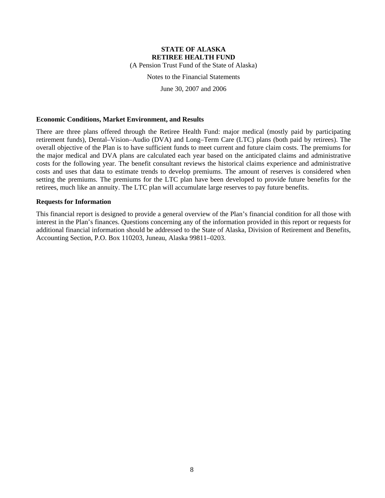(A Pension Trust Fund of the State of Alaska)

Notes to the Financial Statements

June 30, 2007 and 2006

#### **Economic Conditions, Market Environment, and Results**

There are three plans offered through the Retiree Health Fund: major medical (mostly paid by participating retirement funds), Dental–Vision–Audio (DVA) and Long–Term Care (LTC) plans (both paid by retirees). The overall objective of the Plan is to have sufficient funds to meet current and future claim costs. The premiums for the major medical and DVA plans are calculated each year based on the anticipated claims and administrative costs for the following year. The benefit consultant reviews the historical claims experience and administrative costs and uses that data to estimate trends to develop premiums. The amount of reserves is considered when setting the premiums. The premiums for the LTC plan have been developed to provide future benefits for the retirees, much like an annuity. The LTC plan will accumulate large reserves to pay future benefits.

#### **Requests for Information**

This financial report is designed to provide a general overview of the Plan's financial condition for all those with interest in the Plan's finances. Questions concerning any of the information provided in this report or requests for additional financial information should be addressed to the State of Alaska, Division of Retirement and Benefits, Accounting Section, P.O. Box 110203, Juneau, Alaska 99811–0203.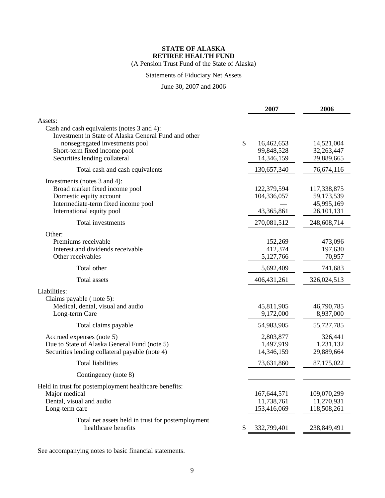(A Pension Trust Fund of the State of Alaska)

# Statements of Fiduciary Net Assets

### June 30, 2007 and 2006

|                                                                                                                                                                                                                  |               | 2007                                     | 2006                                                  |
|------------------------------------------------------------------------------------------------------------------------------------------------------------------------------------------------------------------|---------------|------------------------------------------|-------------------------------------------------------|
| Assets:<br>Cash and cash equivalents (notes 3 and 4):<br>Investment in State of Alaska General Fund and other<br>nonsegregated investments pool<br>Short-term fixed income pool<br>Securities lending collateral | $\mathcal{S}$ | 16,462,653<br>99,848,528<br>14,346,159   | 14,521,004<br>32,263,447<br>29,889,665                |
| Total cash and cash equivalents                                                                                                                                                                                  |               | 130,657,340                              | 76,674,116                                            |
| Investments (notes 3 and 4):<br>Broad market fixed income pool<br>Domestic equity account<br>Intermediate-term fixed income pool<br>International equity pool                                                    |               | 122,379,594<br>104,336,057<br>43,365,861 | 117,338,875<br>59,173,539<br>45,995,169<br>26,101,131 |
| Total investments                                                                                                                                                                                                |               | 270,081,512                              | 248,608,714                                           |
| Other:<br>Premiums receivable<br>Interest and dividends receivable<br>Other receivables                                                                                                                          |               | 152,269<br>412,374<br>5,127,766          | 473,096<br>197,630<br>70,957                          |
| Total other                                                                                                                                                                                                      |               | 5,692,409                                | 741,683                                               |
| Total assets                                                                                                                                                                                                     |               | 406, 431, 261                            | 326,024,513                                           |
| Liabilities:<br>Claims payable (note 5):<br>Medical, dental, visual and audio<br>Long-term Care                                                                                                                  |               | 45,811,905<br>9,172,000                  | 46,790,785<br>8,937,000                               |
| Total claims payable                                                                                                                                                                                             |               | 54,983,905                               | 55,727,785                                            |
| Accrued expenses (note 5)<br>Due to State of Alaska General Fund (note 5)<br>Securities lending collateral payable (note 4)                                                                                      |               | 2,803,877<br>1,497,919<br>14,346,159     | 326,441<br>1,231,132<br>29,889,664                    |
| <b>Total liabilities</b>                                                                                                                                                                                         |               | 73,631,860                               | 87,175,022                                            |
| Contingency (note 8)                                                                                                                                                                                             |               |                                          |                                                       |
| Held in trust for postemployment healthcare benefits:<br>Major medical<br>Dental, visual and audio<br>Long-term care                                                                                             |               | 167,644,571<br>11,738,761<br>153,416,069 | 109,070,299<br>11,270,931<br>118,508,261              |
| Total net assets held in trust for postemployment<br>healthcare benefits                                                                                                                                         | \$            | 332,799,401                              | 238,849,491                                           |

See accompanying notes to basic financial statements.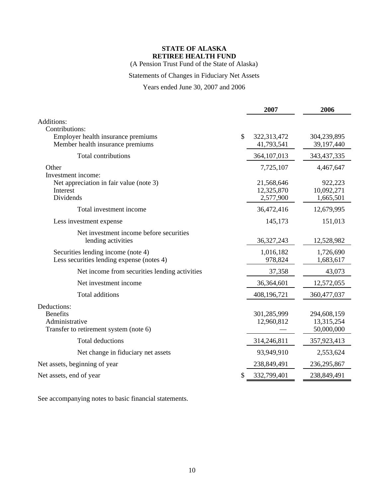(A Pension Trust Fund of the State of Alaska)

### Statements of Changes in Fiduciary Net Assets

### Years ended June 30, 2007 and 2006

|                                                                                            | 2007                                  | 2006                                    |
|--------------------------------------------------------------------------------------------|---------------------------------------|-----------------------------------------|
| Additions:<br>Contributions:                                                               |                                       |                                         |
| Employer health insurance premiums<br>Member health insurance premiums                     | \$<br>322,313,472<br>41,793,541       | 304,239,895<br>39,197,440               |
| Total contributions                                                                        | 364, 107, 013                         | 343,437,335                             |
| Other<br>Investment income:                                                                | 7,725,107                             | 4,467,647                               |
| Net appreciation in fair value (note 3)<br>Interest<br>Dividends                           | 21,568,646<br>12,325,870<br>2,577,900 | 922,223<br>10,092,271<br>1,665,501      |
| Total investment income                                                                    | 36,472,416                            | 12,679,995                              |
| Less investment expense                                                                    | 145,173                               | 151,013                                 |
| Net investment income before securities<br>lending activities                              | 36, 327, 243                          | 12,528,982                              |
| Securities lending income (note 4)<br>Less securities lending expense (notes 4)            | 1,016,182<br>978,824                  | 1,726,690<br>1,683,617                  |
| Net income from securities lending activities                                              | 37,358                                | 43,073                                  |
| Net investment income                                                                      | 36,364,601                            | 12,572,055                              |
| Total additions                                                                            | 408,196,721                           | 360,477,037                             |
| Deductions:<br><b>Benefits</b><br>Administrative<br>Transfer to retirement system (note 6) | 301,285,999<br>12,960,812             | 294,608,159<br>13,315,254<br>50,000,000 |
| Total deductions                                                                           | 314,246,811                           | 357,923,413                             |
| Net change in fiduciary net assets                                                         | 93,949,910                            | 2,553,624                               |
| Net assets, beginning of year                                                              | 238,849,491                           | 236, 295, 867                           |
| Net assets, end of year                                                                    | \$<br>332,799,401                     | 238,849,491                             |

See accompanying notes to basic financial statements.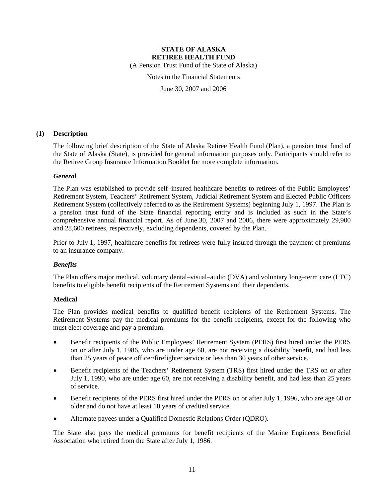(A Pension Trust Fund of the State of Alaska)

Notes to the Financial Statements

June 30, 2007 and 2006

### **(1) Description**

The following brief description of the State of Alaska Retiree Health Fund (Plan), a pension trust fund of the State of Alaska (State), is provided for general information purposes only. Participants should refer to the Retiree Group Insurance Information Booklet for more complete information.

### *General*

The Plan was established to provide self–insured healthcare benefits to retirees of the Public Employees' Retirement System, Teachers' Retirement System, Judicial Retirement System and Elected Public Officers Retirement System (collectively referred to as the Retirement Systems) beginning July 1, 1997. The Plan is a pension trust fund of the State financial reporting entity and is included as such in the State's comprehensive annual financial report. As of June 30, 2007 and 2006, there were approximately 29,900 and 28,600 retirees, respectively, excluding dependents, covered by the Plan.

Prior to July 1, 1997, healthcare benefits for retirees were fully insured through the payment of premiums to an insurance company.

### *Benefits*

The Plan offers major medical, voluntary dental–visual–audio (DVA) and voluntary long–term care (LTC) benefits to eligible benefit recipients of the Retirement Systems and their dependents.

### **Medical**

The Plan provides medical benefits to qualified benefit recipients of the Retirement Systems. The Retirement Systems pay the medical premiums for the benefit recipients, except for the following who must elect coverage and pay a premium:

- Benefit recipients of the Public Employees' Retirement System (PERS) first hired under the PERS on or after July 1, 1986, who are under age 60, are not receiving a disability benefit, and had less than 25 years of peace officer/firefighter service or less than 30 years of other service.
- Benefit recipients of the Teachers' Retirement System (TRS) first hired under the TRS on or after July 1, 1990, who are under age 60, are not receiving a disability benefit, and had less than 25 years of service.
- Benefit recipients of the PERS first hired under the PERS on or after July 1, 1996, who are age 60 or older and do not have at least 10 years of credited service.
- Alternate payees under a Qualified Domestic Relations Order (QDRO).

The State also pays the medical premiums for benefit recipients of the Marine Engineers Beneficial Association who retired from the State after July 1, 1986.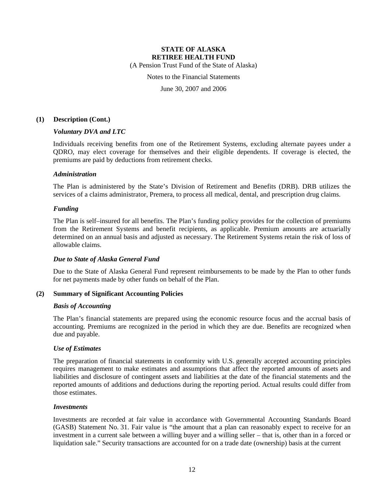(A Pension Trust Fund of the State of Alaska)

Notes to the Financial Statements

June 30, 2007 and 2006

#### **(1) Description (Cont.)**

#### *Voluntary DVA and LTC*

Individuals receiving benefits from one of the Retirement Systems, excluding alternate payees under a QDRO, may elect coverage for themselves and their eligible dependents. If coverage is elected, the premiums are paid by deductions from retirement checks.

#### *Administration*

The Plan is administered by the State's Division of Retirement and Benefits (DRB). DRB utilizes the services of a claims administrator, Premera, to process all medical, dental, and prescription drug claims.

#### *Funding*

The Plan is self–insured for all benefits. The Plan's funding policy provides for the collection of premiums from the Retirement Systems and benefit recipients, as applicable. Premium amounts are actuarially determined on an annual basis and adjusted as necessary. The Retirement Systems retain the risk of loss of allowable claims.

#### *Due to State of Alaska General Fund*

Due to the State of Alaska General Fund represent reimbursements to be made by the Plan to other funds for net payments made by other funds on behalf of the Plan.

#### **(2) Summary of Significant Accounting Policies**

#### *Basis of Accounting*

The Plan's financial statements are prepared using the economic resource focus and the accrual basis of accounting. Premiums are recognized in the period in which they are due. Benefits are recognized when due and payable.

#### *Use of Estimates*

The preparation of financial statements in conformity with U.S. generally accepted accounting principles requires management to make estimates and assumptions that affect the reported amounts of assets and liabilities and disclosure of contingent assets and liabilities at the date of the financial statements and the reported amounts of additions and deductions during the reporting period. Actual results could differ from those estimates.

#### *Investments*

Investments are recorded at fair value in accordance with Governmental Accounting Standards Board (GASB) Statement No. 31. Fair value is "the amount that a plan can reasonably expect to receive for an investment in a current sale between a willing buyer and a willing seller – that is, other than in a forced or liquidation sale." Security transactions are accounted for on a trade date (ownership) basis at the current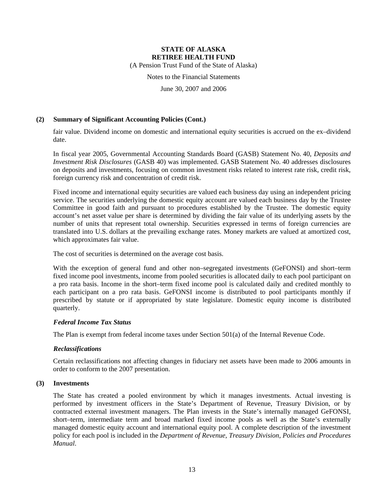(A Pension Trust Fund of the State of Alaska)

Notes to the Financial Statements

June 30, 2007 and 2006

### **(2) Summary of Significant Accounting Policies (Cont.)**

fair value. Dividend income on domestic and international equity securities is accrued on the ex–dividend date.

In fiscal year 2005, Governmental Accounting Standards Board (GASB) Statement No. 40, *Deposits and Investment Risk Disclosures* (GASB 40) was implemented. GASB Statement No. 40 addresses disclosures on deposits and investments, focusing on common investment risks related to interest rate risk, credit risk, foreign currency risk and concentration of credit risk.

Fixed income and international equity securities are valued each business day using an independent pricing service. The securities underlying the domestic equity account are valued each business day by the Trustee Committee in good faith and pursuant to procedures established by the Trustee. The domestic equity account's net asset value per share is determined by dividing the fair value of its underlying assets by the number of units that represent total ownership. Securities expressed in terms of foreign currencies are translated into U.S. dollars at the prevailing exchange rates. Money markets are valued at amortized cost, which approximates fair value.

The cost of securities is determined on the average cost basis.

With the exception of general fund and other non–segregated investments (GeFONSI) and short–term fixed income pool investments, income from pooled securities is allocated daily to each pool participant on a pro rata basis. Income in the short–term fixed income pool is calculated daily and credited monthly to each participant on a pro rata basis. GeFONSI income is distributed to pool participants monthly if prescribed by statute or if appropriated by state legislature. Domestic equity income is distributed quarterly.

#### *Federal Income Tax Status*

The Plan is exempt from federal income taxes under Section 501(a) of the Internal Revenue Code.

#### *Reclassifications*

Certain reclassifications not affecting changes in fiduciary net assets have been made to 2006 amounts in order to conform to the 2007 presentation.

#### **(3) Investments**

The State has created a pooled environment by which it manages investments. Actual investing is performed by investment officers in the State's Department of Revenue, Treasury Division, or by contracted external investment managers. The Plan invests in the State's internally managed GeFONSI, short–term, intermediate term and broad marked fixed income pools as well as the State's externally managed domestic equity account and international equity pool. A complete description of the investment policy for each pool is included in the *Department of Revenue, Treasury Division, Policies and Procedures Manual*.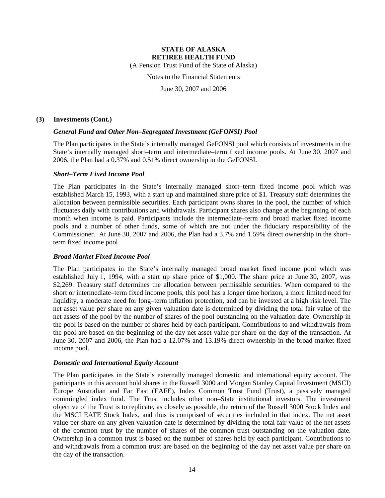(A Pension Trust Fund of the State of Alaska)

Notes to the Financial Statements

June 30, 2007 and 2006

#### **(3) Investments (Cont.)**

### *General Fund and Other Non–Segregated Investment (GeFONSI) Pool*

The Plan participates in the State's internally managed GeFONSI pool which consists of investments in the State's internally managed short–term and intermediate–term fixed income pools. At June 30, 2007 and 2006, the Plan had a 0.37% and 0.51% direct ownership in the GeFONSI.

#### *Short–Term Fixed Income Pool*

The Plan participates in the State's internally managed short–term fixed income pool which was established March 15, 1993, with a start up and maintained share price of \$1. Treasury staff determines the allocation between permissible securities. Each participant owns shares in the pool, the number of which fluctuates daily with contributions and withdrawals. Participant shares also change at the beginning of each month when income is paid. Participants include the intermediate–term and broad market fixed income pools and a number of other funds, some of which are not under the fiduciary responsibility of the Commissioner. At June 30, 2007 and 2006, the Plan had a 3.7% and 1.59% direct ownership in the short– term fixed income pool.

#### *Broad Market Fixed Income Pool*

The Plan participates in the State's internally managed broad market fixed income pool which was established July 1, 1994, with a start up share price of \$1,000. The share price at June 30, 2007, was \$2,269. Treasury staff determines the allocation between permissible securities. When compared to the short or intermediate–term fixed income pools, this pool has a longer time horizon, a more limited need for liquidity, a moderate need for long–term inflation protection, and can be invested at a high risk level. The net asset value per share on any given valuation date is determined by dividing the total fair value of the net assets of the pool by the number of shares of the pool outstanding on the valuation date. Ownership in the pool is based on the number of shares held by each participant. Contributions to and withdrawals from the pool are based on the beginning of the day net asset value per share on the day of the transaction. At June 30, 2007 and 2006, the Plan had a 12.07% and 13.19% direct ownership in the broad market fixed income pool.

#### *Domestic and International Equity Account*

The Plan participates in the State's externally managed domestic and international equity account. The participants in this account hold shares in the Russell 3000 and Morgan Stanley Capital Investment (MSCI) Europe Australian and Far East (EAFE), Index Common Trust Fund (Trust), a passively managed commingled index fund. The Trust includes other non–State institutional investors. The investment objective of the Trust is to replicate, as closely as possible, the return of the Russell 3000 Stock Index and the MSCI EAFE Stock Index, and thus is comprised of securities included in that index. The net asset value per share on any given valuation date is determined by dividing the total fair value of the net assets of the common trust by the number of shares of the common trust outstanding on the valuation date. Ownership in a common trust is based on the number of shares held by each participant. Contributions to and withdrawals from a common trust are based on the beginning of the day net asset value per share on the day of the transaction.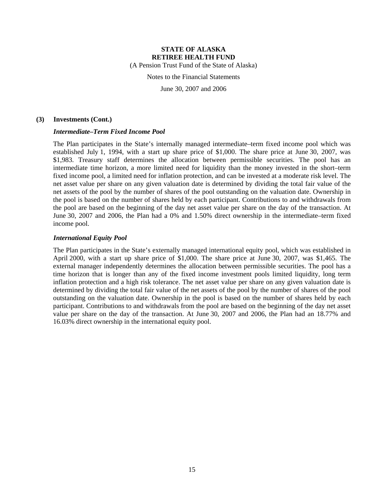(A Pension Trust Fund of the State of Alaska)

Notes to the Financial Statements

June 30, 2007 and 2006

#### **(3) Investments (Cont.)**

#### *Intermediate–Term Fixed Income Pool*

The Plan participates in the State's internally managed intermediate–term fixed income pool which was established July 1, 1994, with a start up share price of \$1,000. The share price at June 30, 2007, was \$1,983. Treasury staff determines the allocation between permissible securities. The pool has an intermediate time horizon, a more limited need for liquidity than the money invested in the short–term fixed income pool, a limited need for inflation protection, and can be invested at a moderate risk level. The net asset value per share on any given valuation date is determined by dividing the total fair value of the net assets of the pool by the number of shares of the pool outstanding on the valuation date. Ownership in the pool is based on the number of shares held by each participant. Contributions to and withdrawals from the pool are based on the beginning of the day net asset value per share on the day of the transaction. At June 30, 2007 and 2006, the Plan had a 0% and 1.50% direct ownership in the intermediate–term fixed income pool.

#### *International Equity Pool*

The Plan participates in the State's externally managed international equity pool, which was established in April 2000, with a start up share price of \$1,000. The share price at June 30, 2007, was \$1,465. The external manager independently determines the allocation between permissible securities. The pool has a time horizon that is longer than any of the fixed income investment pools limited liquidity, long term inflation protection and a high risk tolerance. The net asset value per share on any given valuation date is determined by dividing the total fair value of the net assets of the pool by the number of shares of the pool outstanding on the valuation date. Ownership in the pool is based on the number of shares held by each participant. Contributions to and withdrawals from the pool are based on the beginning of the day net asset value per share on the day of the transaction. At June 30, 2007 and 2006, the Plan had an 18.77% and 16.03% direct ownership in the international equity pool.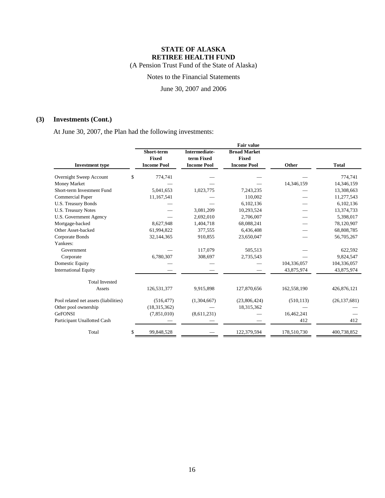(A Pension Trust Fund of the State of Alaska)

Notes to the Financial Statements

June 30, 2007 and 2006

### **(3) Investments (Cont.)**

At June 30, 2007, the Plan had the following investments:

|                                       |                            |                                    | <b>Fair value</b>                   |             |                |
|---------------------------------------|----------------------------|------------------------------------|-------------------------------------|-------------|----------------|
|                                       | Short-term<br><b>Fixed</b> | <b>Intermediate-</b><br>term Fixed | <b>Broad Market</b><br><b>Fixed</b> |             |                |
| <b>Investment</b> type                | <b>Income Pool</b>         | <b>Income Pool</b>                 | <b>Income Pool</b>                  | Other       | <b>Total</b>   |
| Overnight Sweep Account               | \$<br>774,741              |                                    |                                     |             | 774,741        |
| Money Market                          |                            |                                    |                                     | 14,346,159  | 14,346,159     |
| Short-term Investment Fund            | 5,041,653                  | 1,023,775                          | 7,243,235                           |             | 13,308,663     |
| <b>Commercial Paper</b>               | 11,167,541                 |                                    | 110.002                             |             | 11,277,543     |
| U.S. Treasury Bonds                   |                            |                                    | 6,102,136                           |             | 6,102,136      |
| <b>U.S. Treasury Notes</b>            |                            | 3,081,209                          | 10,293,524                          |             | 13,374,733     |
| U.S. Government Agency                |                            | 2,692,010                          | 2,706,007                           |             | 5,398,017      |
| Mortgage-backed                       | 8,627,948                  | 1,404,718                          | 68,088,241                          |             | 78,120,907     |
| Other Asset-backed                    | 61,994,822                 | 377,555                            | 6,436,408                           |             | 68,808,785     |
| Corporate Bonds                       | 32,144,365                 | 910,855                            | 23,650,047                          |             | 56,705,267     |
| Yankees:                              |                            |                                    |                                     |             |                |
| Government                            |                            | 117,079                            | 505,513                             |             | 622,592        |
| Corporate                             | 6,780,307                  | 308,697                            | 2,735,543                           |             | 9,824,547      |
| Domestic Equity                       |                            |                                    |                                     | 104,336,057 | 104,336,057    |
| <b>International Equity</b>           |                            |                                    |                                     | 43,875,974  | 43,875,974     |
| <b>Total Invested</b>                 |                            |                                    |                                     |             |                |
| Assets                                | 126,531,377                | 9,915,898                          | 127,870,656                         | 162,558,190 | 426,876,121    |
| Pool related net assets (liabilities) | (516, 477)                 | (1,304,667)                        | (23,806,424)                        | (510, 113)  | (26, 137, 681) |
| Other pool ownership                  | (18, 315, 362)             |                                    | 18,315,362                          |             |                |
| <b>GeFONSI</b>                        | (7,851,010)                | (8,611,231)                        |                                     | 16,462,241  |                |
| Participant Unallotted Cash           |                            |                                    |                                     | 412         | 412            |
| Total                                 | \$<br>99,848,528           |                                    | 122,379,594                         | 178,510,730 | 400,738,852    |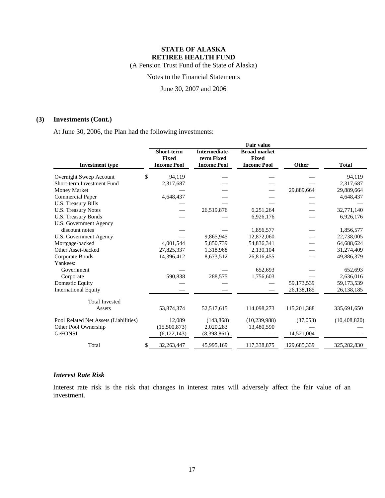(A Pension Trust Fund of the State of Alaska)

Notes to the Financial Statements

June 30, 2007 and 2006

### **(3) Investments (Cont.)**

At June 30, 2006, the Plan had the following investments:

|                                       |                    |                      | <b>Fair value</b>   |             |                |
|---------------------------------------|--------------------|----------------------|---------------------|-------------|----------------|
|                                       | <b>Short-term</b>  | <b>Intermediate-</b> | <b>Broad market</b> |             |                |
|                                       | <b>Fixed</b>       | term Fixed           | Fixed               |             |                |
| <b>Investment type</b>                | <b>Income Pool</b> | <b>Income Pool</b>   | <b>Income Pool</b>  | Other       | <b>Total</b>   |
| Overnight Sweep Account               | \$<br>94,119       |                      |                     |             | 94,119         |
| Short-term Investment Fund            | 2,317,687          |                      |                     |             | 2,317,687      |
| Money Market                          |                    |                      |                     | 29,889,664  | 29,889,664     |
| Commercial Paper                      | 4,648,437          |                      |                     |             | 4,648,437      |
| U.S. Treasury Bills                   |                    |                      |                     |             |                |
| <b>U.S. Treasury Notes</b>            |                    | 26,519,876           | 6,251,264           |             | 32,771,140     |
| U.S. Treasury Bonds                   |                    |                      | 6,926,176           |             | 6,926,176      |
| U.S. Government Agency                |                    |                      |                     |             |                |
| discount notes                        |                    |                      | 1,856,577           |             | 1,856,577      |
| <b>U.S. Government Agency</b>         |                    | 9,865,945            | 12,872,060          |             | 22,738,005     |
| Mortgage-backed                       | 4,001,544          | 5,850,739            | 54,836,341          |             | 64,688,624     |
| Other Asset-backed                    | 27,825,337         | 1,318,968            | 2,130,104           |             | 31,274,409     |
| Corporate Bonds                       | 14,396,412         | 8,673,512            | 26,816,455          |             | 49,886,379     |
| Yankees:                              |                    |                      |                     |             |                |
| Government                            |                    |                      | 652,693             |             | 652,693        |
| Corporate                             | 590,838            | 288,575              | 1,756,603           |             | 2,636,016      |
| Domestic Equity                       |                    |                      |                     | 59,173,539  | 59,173,539     |
| <b>International Equity</b>           |                    |                      |                     | 26,138,185  | 26,138,185     |
| <b>Total Invested</b>                 |                    |                      |                     |             |                |
| Assets                                | 53,874,374         | 52,517,615           | 114,098,273         | 115,201,388 | 335,691,650    |
|                                       | 12,089             |                      |                     |             |                |
| Pool Related Net Assets (Liabilities) | (15,500,873)       | (143, 868)           | (10, 239, 988)      | (37,053)    | (10, 408, 820) |
| Other Pool Ownership                  |                    | 2,020,283            | 13,480,590          |             |                |
| <b>GeFONSI</b>                        | (6, 122, 143)      | (8,398,861)          |                     | 14,521,004  |                |
| Total                                 | 32,263,447<br>\$   | 45,995,169           | 117,338,875         | 129,685,339 | 325,282,830    |

### *Interest Rate Risk*

Interest rate risk is the risk that changes in interest rates will adversely affect the fair value of an investment.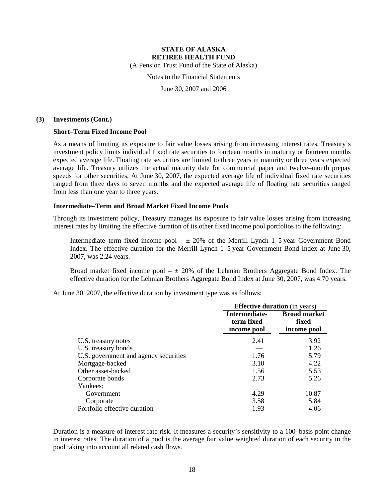(A Pension Trust Fund of the State of Alaska)

Notes to the Financial Statements

June 30, 2007 and 2006

#### **(3) Investments (Cont.)**

#### **Short–Term Fixed Income Pool**

As a means of limiting its exposure to fair value losses arising from increasing interest rates, Treasury's investment policy limits individual fixed rate securities to fourteen months in maturity or fourteen months expected average life. Floating rate securities are limited to three years in maturity or three years expected average life. Treasury utilizes the actual maturity date for commercial paper and twelve–month prepay speeds for other securities. At June 30, 2007, the expected average life of individual fixed rate securities ranged from three days to seven months and the expected average life of floating rate securities ranged from less than one year to three years.

#### **Intermediate–Term and Broad Market Fixed Income Pools**

Through its investment policy, Treasury manages its exposure to fair value losses arising from increasing interest rates by limiting the effective duration of its other fixed income pool portfolios to the following:

Intermediate–term fixed income pool  $- \pm 20\%$  of the Merrill Lynch 1–5 year Government Bond Index. The effective duration for the Merrill Lynch 1–5 year Government Bond Index at June 30, 2007, was 2.24 years.

Broad market fixed income pool  $- \pm 20\%$  of the Lehman Brothers Aggregate Bond Index. The effective duration for the Lehman Brothers Aggregate Bond Index at June 30, 2007, was 4.70 years.

At June 30, 2007, the effective duration by investment type was as follows:

|                                       | <b>Effective duration</b> (in years)       |                                             |  |  |
|---------------------------------------|--------------------------------------------|---------------------------------------------|--|--|
|                                       | Intermediate-<br>term fixed<br>income pool | <b>Broad market</b><br>fixed<br>income pool |  |  |
| U.S. treasury notes                   | 2.41                                       | 3.92                                        |  |  |
| U.S. treasury bonds                   |                                            | 11.26                                       |  |  |
| U.S. government and agency securities | 1.76                                       | 5.79                                        |  |  |
| Mortgage-backed                       | 3.10                                       | 4.22                                        |  |  |
| Other asset-backed                    | 1.56                                       | 5.53                                        |  |  |
| Corporate bonds                       | 2.73                                       | 5.26                                        |  |  |
| Yankees:                              |                                            |                                             |  |  |
| Government                            | 4.29                                       | 10.87                                       |  |  |
| Corporate                             | 3.58                                       | 5.84                                        |  |  |
| Portfolio effective duration          | 1.93                                       | 4.06                                        |  |  |

Duration is a measure of interest rate risk. It measures a security's sensitivity to a 100–basis point change in interest rates. The duration of a pool is the average fair value weighted duration of each security in the pool taking into account all related cash flows.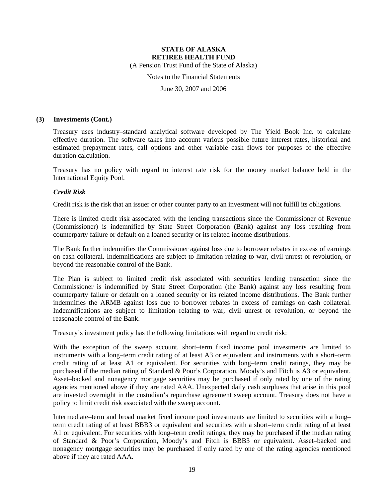(A Pension Trust Fund of the State of Alaska)

Notes to the Financial Statements

June 30, 2007 and 2006

#### **(3) Investments (Cont.)**

Treasury uses industry–standard analytical software developed by The Yield Book Inc. to calculate effective duration. The software takes into account various possible future interest rates, historical and estimated prepayment rates, call options and other variable cash flows for purposes of the effective duration calculation.

Treasury has no policy with regard to interest rate risk for the money market balance held in the International Equity Pool.

#### *Credit Risk*

Credit risk is the risk that an issuer or other counter party to an investment will not fulfill its obligations.

There is limited credit risk associated with the lending transactions since the Commissioner of Revenue (Commissioner) is indemnified by State Street Corporation (Bank) against any loss resulting from counterparty failure or default on a loaned security or its related income distributions.

The Bank further indemnifies the Commissioner against loss due to borrower rebates in excess of earnings on cash collateral. Indemnifications are subject to limitation relating to war, civil unrest or revolution, or beyond the reasonable control of the Bank.

The Plan is subject to limited credit risk associated with securities lending transaction since the Commissioner is indemnified by State Street Corporation (the Bank) against any loss resulting from counterparty failure or default on a loaned security or its related income distributions. The Bank further indemnifies the ARMB against loss due to borrower rebates in excess of earnings on cash collateral. Indemnifications are subject to limitation relating to war, civil unrest or revolution, or beyond the reasonable control of the Bank.

Treasury's investment policy has the following limitations with regard to credit risk:

With the exception of the sweep account, short–term fixed income pool investments are limited to instruments with a long–term credit rating of at least A3 or equivalent and instruments with a short–term credit rating of at least A1 or equivalent. For securities with long–term credit ratings, they may be purchased if the median rating of Standard & Poor's Corporation, Moody's and Fitch is A3 or equivalent. Asset–backed and nonagency mortgage securities may be purchased if only rated by one of the rating agencies mentioned above if they are rated AAA. Unexpected daily cash surpluses that arise in this pool are invested overnight in the custodian's repurchase agreement sweep account. Treasury does not have a policy to limit credit risk associated with the sweep account.

Intermediate–term and broad market fixed income pool investments are limited to securities with a long– term credit rating of at least BBB3 or equivalent and securities with a short–term credit rating of at least A1 or equivalent. For securities with long–term credit ratings, they may be purchased if the median rating of Standard & Poor's Corporation, Moody's and Fitch is BBB3 or equivalent. Asset–backed and nonagency mortgage securities may be purchased if only rated by one of the rating agencies mentioned above if they are rated AAA.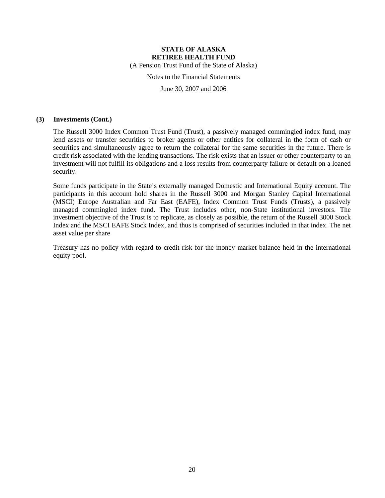(A Pension Trust Fund of the State of Alaska)

Notes to the Financial Statements

June 30, 2007 and 2006

#### **(3) Investments (Cont.)**

The Russell 3000 Index Common Trust Fund (Trust), a passively managed commingled index fund, may lend assets or transfer securities to broker agents or other entities for collateral in the form of cash or securities and simultaneously agree to return the collateral for the same securities in the future. There is credit risk associated with the lending transactions. The risk exists that an issuer or other counterparty to an investment will not fulfill its obligations and a loss results from counterparty failure or default on a loaned security.

Some funds participate in the State's externally managed Domestic and International Equity account. The participants in this account hold shares in the Russell 3000 and Morgan Stanley Capital International (MSCI) Europe Australian and Far East (EAFE), Index Common Trust Funds (Trusts), a passively managed commingled index fund. The Trust includes other, non-State institutional investors. The investment objective of the Trust is to replicate, as closely as possible, the return of the Russell 3000 Stock Index and the MSCI EAFE Stock Index, and thus is comprised of securities included in that index. The net asset value per share

Treasury has no policy with regard to credit risk for the money market balance held in the international equity pool.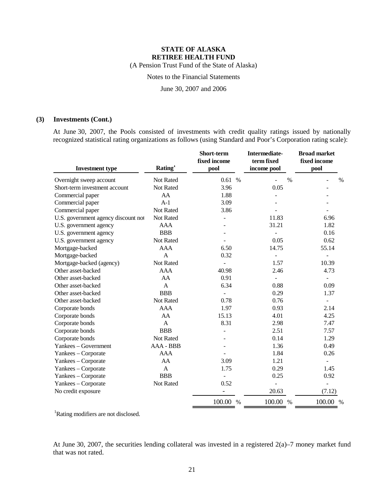(A Pension Trust Fund of the State of Alaska)

Notes to the Financial Statements

June 30, 2007 and 2006

### **(3) Investments (Cont.)**

At June 30, 2007, the Pools consisted of investments with credit quality ratings issued by nationally recognized statistical rating organizations as follows (using Standard and Poor's Corporation rating scale):

| <b>Investment type</b>              | Rating <sup>1</sup> | Short-term<br>fixed income<br>pool | <b>Intermediate-</b><br>term fixed<br>income pool | <b>Broad market</b><br>fixed income<br>pool |
|-------------------------------------|---------------------|------------------------------------|---------------------------------------------------|---------------------------------------------|
| Overnight sweep account             | <b>Not Rated</b>    | 0.61%                              |                                                   | $\frac{0}{0}$<br>$\%$                       |
| Short-term investment account       | Not Rated           | 3.96                               | 0.05                                              |                                             |
| Commercial paper                    | AA                  | 1.88                               |                                                   |                                             |
| Commercial paper                    | $A-1$               | 3.09                               |                                                   |                                             |
| Commercial paper                    | Not Rated           | 3.86                               |                                                   |                                             |
| U.S. government agency discount not | Not Rated           |                                    | 11.83                                             | 6.96                                        |
| U.S. government agency              | AAA                 |                                    | 31.21                                             | 1.82                                        |
| U.S. government agency              | <b>BBB</b>          |                                    |                                                   | 0.16                                        |
| U.S. government agency              | Not Rated           |                                    | 0.05                                              | 0.62                                        |
| Mortgage-backed                     | AAA                 | 6.50                               | 14.75                                             | 55.14                                       |
| Mortgage-backed                     | $\mathbf{A}$        | 0.32                               | $\blacksquare$                                    | -                                           |
| Mortgage-backed (agency)            | Not Rated           |                                    | 1.57                                              | 10.39                                       |
| Other asset-backed                  | AAA                 | 40.98                              | 2.46                                              | 4.73                                        |
| Other asset-backed                  | AA                  | 0.91                               |                                                   | $\overline{\phantom{m}}$                    |
| Other asset-backed                  | $\mathsf{A}$        | 6.34                               | 0.88                                              | 0.09                                        |
| Other asset-backed                  | <b>BBB</b>          | $\overline{a}$                     | 0.29                                              | 1.37                                        |
| Other asset-backed                  | Not Rated           | 0.78                               | 0.76                                              | $\overline{\phantom{0}}$                    |
| Corporate bonds                     | AAA                 | 1.97                               | 0.93                                              | 2.14                                        |
| Corporate bonds                     | AA                  | 15.13                              | 4.01                                              | 4.25                                        |
| Corporate bonds                     | $\mathbf{A}$        | 8.31                               | 2.98                                              | 7.47                                        |
| Corporate bonds                     | <b>BBB</b>          |                                    | 2.51                                              | 7.57                                        |
| Corporate bonds                     | Not Rated           |                                    | 0.14                                              | 1.29                                        |
| Yankees - Government                | AAA - BBB           |                                    | 1.36                                              | 0.49                                        |
| Yankees - Corporate                 | AAA                 |                                    | 1.84                                              | 0.26                                        |
| Yankees - Corporate                 | AA                  | 3.09                               | 1.21                                              | $\overline{a}$                              |
| Yankees - Corporate                 | $\mathbf{A}$        | 1.75                               | 0.29                                              | 1.45                                        |
| Yankees - Corporate                 | <b>BBB</b>          |                                    | 0.25                                              | 0.92                                        |
| Yankees - Corporate                 | Not Rated           | 0.52                               |                                                   |                                             |
| No credit exposure                  |                     | $\overline{\phantom{a}}$           | 20.63                                             | (7.12)                                      |
|                                     |                     | 100.00 %                           | 100.00 %                                          | 100.00<br>$\%$                              |

<sup>1</sup>Rating modifiers are not disclosed.

At June 30, 2007, the securities lending collateral was invested in a registered 2(a)–7 money market fund that was not rated.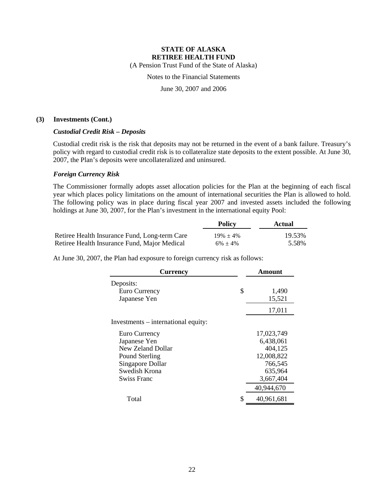(A Pension Trust Fund of the State of Alaska)

Notes to the Financial Statements

June 30, 2007 and 2006

#### **(3) Investments (Cont.)**

#### *Custodial Credit Risk – Deposits*

Custodial credit risk is the risk that deposits may not be returned in the event of a bank failure. Treasury's policy with regard to custodial credit risk is to collateralize state deposits to the extent possible. At June 30, 2007, the Plan's deposits were uncollateralized and uninsured.

#### *Foreign Currency Risk*

The Commissioner formally adopts asset allocation policies for the Plan at the beginning of each fiscal year which places policy limitations on the amount of international securities the Plan is allowed to hold. The following policy was in place during fiscal year 2007 and invested assets included the following holdings at June 30, 2007, for the Plan's investment in the international equity Pool:

|                                               | <b>Policy</b>  | Actual |
|-----------------------------------------------|----------------|--------|
| Retiree Health Insurance Fund, Long-term Care | $19\% \pm 4\%$ | 19.53% |
| Retiree Health Insurance Fund, Major Medical  | $6\% + 4\%$    | 5.58%  |

At June 30, 2007, the Plan had exposure to foreign currency risk as follows:

| <b>Currency</b>                     | Amount           |
|-------------------------------------|------------------|
| Deposits:                           |                  |
| Euro Currency                       | \$<br>1,490      |
| Japanese Yen                        | 15,521           |
|                                     | 17,011           |
| Investments – international equity: |                  |
| Euro Currency                       | 17,023,749       |
| Japanese Yen                        | 6,438,061        |
| New Zeland Dollar                   | 404,125          |
| Pound Sterling                      | 12,008,822       |
| Singapore Dollar                    | 766,545          |
| Swedish Krona                       | 635,964          |
| Swiss Franc                         | 3,667,404        |
|                                     | 40,944,670       |
| Total                               | \$<br>40,961,681 |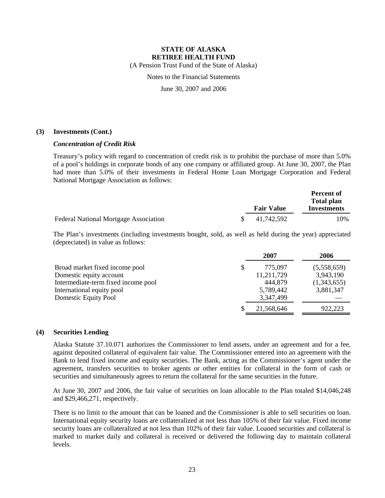(A Pension Trust Fund of the State of Alaska)

Notes to the Financial Statements

June 30, 2007 and 2006

#### **(3) Investments (Cont.)**

### *Concentration of Credit Risk*

Treasury's policy with regard to concentration of credit risk is to prohibit the purchase of more than 5.0% of a pool's holdings in corporate bonds of any one company or affiliated group. At June 30, 2007, the Plan had more than 5.0% of their investments in Federal Home Loan Mortgage Corporation and Federal National Mortgage Association as follows:

|                                              |                   | <b>Percent of</b>                       |
|----------------------------------------------|-------------------|-----------------------------------------|
|                                              | <b>Fair Value</b> | <b>Total plan</b><br><b>Investments</b> |
|                                              |                   |                                         |
| <b>Federal National Mortgage Association</b> | 41.742.592        | 10%                                     |

The Plan's investments (including investments bought, sold, as well as held during the year) appreciated (depreciated) in value as follows:

|                                     |   | 2007       | 2006        |
|-------------------------------------|---|------------|-------------|
| Broad market fixed income pool      | S | 775,097    | (5,558,659) |
| Domestic equity account             |   | 11,211,729 | 3,943,190   |
| Intermediate-term fixed income pool |   | 444,879    | (1,343,655) |
| International equity pool           |   | 5,789,442  | 3,881,347   |
| Domestic Equity Pool                |   | 3,347,499  |             |
|                                     |   | 21,568,646 | 922,223     |

#### **(4) Securities Lending**

Alaska Statute 37.10.071 authorizes the Commissioner to lend assets, under an agreement and for a fee, against deposited collateral of equivalent fair value. The Commissioner entered into an agreement with the Bank to lend fixed income and equity securities. The Bank, acting as the Commissioner's agent under the agreement, transfers securities to broker agents or other entities for collateral in the form of cash or securities and simultaneously agrees to return the collateral for the same securities in the future.

At June 30, 2007 and 2006, the fair value of securities on loan allocable to the Plan totaled \$14,046,248 and \$29,466,271, respectively.

There is no limit to the amount that can be loaned and the Commissioner is able to sell securities on loan. International equity security loans are collateralized at not less than 105% of their fair value. Fixed income security loans are collateralized at not less than 102% of their fair value. Loaned securities and collateral is marked to market daily and collateral is received or delivered the following day to maintain collateral levels.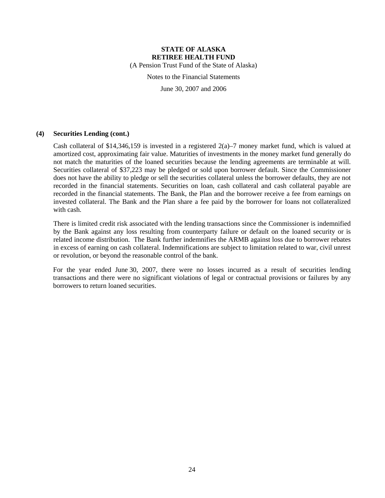(A Pension Trust Fund of the State of Alaska)

Notes to the Financial Statements

June 30, 2007 and 2006

#### **(4) Securities Lending (cont.)**

Cash collateral of \$14,346,159 is invested in a registered  $2(a)$ –7 money market fund, which is valued at amortized cost, approximating fair value. Maturities of investments in the money market fund generally do not match the maturities of the loaned securities because the lending agreements are terminable at will. Securities collateral of \$37,223 may be pledged or sold upon borrower default. Since the Commissioner does not have the ability to pledge or sell the securities collateral unless the borrower defaults, they are not recorded in the financial statements. Securities on loan, cash collateral and cash collateral payable are recorded in the financial statements. The Bank, the Plan and the borrower receive a fee from earnings on invested collateral. The Bank and the Plan share a fee paid by the borrower for loans not collateralized with cash.

There is limited credit risk associated with the lending transactions since the Commissioner is indemnified by the Bank against any loss resulting from counterparty failure or default on the loaned security or is related income distribution. The Bank further indemnifies the ARMB against loss due to borrower rebates in excess of earning on cash collateral. Indemnifications are subject to limitation related to war, civil unrest or revolution, or beyond the reasonable control of the bank.

For the year ended June 30, 2007, there were no losses incurred as a result of securities lending transactions and there were no significant violations of legal or contractual provisions or failures by any borrowers to return loaned securities.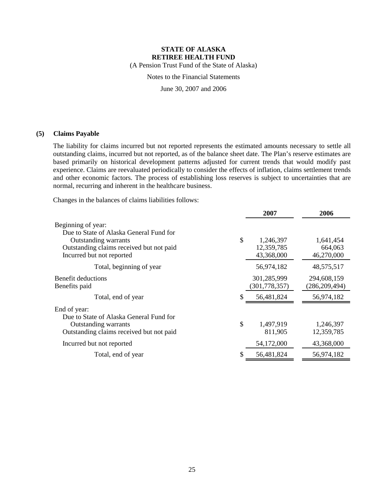(A Pension Trust Fund of the State of Alaska)

Notes to the Financial Statements

June 30, 2007 and 2006

### **(5) Claims Payable**

The liability for claims incurred but not reported represents the estimated amounts necessary to settle all outstanding claims, incurred but not reported, as of the balance sheet date. The Plan's reserve estimates are based primarily on historical development patterns adjusted for current trends that would modify past experience. Claims are reevaluated periodically to consider the effects of inflation, claims settlement trends and other economic factors. The process of establishing loss reserves is subject to uncertainties that are normal, recurring and inherent in the healthcare business.

Changes in the balances of claims liabilities follows:

|                                                               | 2007            | 2006            |
|---------------------------------------------------------------|-----------------|-----------------|
| Beginning of year:<br>Due to State of Alaska General Fund for |                 |                 |
| Outstanding warrants                                          | \$<br>1,246,397 | 1,641,454       |
| Outstanding claims received but not paid                      | 12,359,785      | 664,063         |
| Incurred but not reported                                     | 43,368,000      | 46,270,000      |
| Total, beginning of year                                      | 56,974,182      | 48,575,517      |
| Benefit deductions                                            | 301,285,999     | 294,608,159     |
| Benefits paid                                                 | (301, 778, 357) | (286, 209, 494) |
| Total, end of year                                            | 56,481,824      | 56,974,182      |
| End of year:                                                  |                 |                 |
| Due to State of Alaska General Fund for                       |                 |                 |
| Outstanding warrants                                          | \$<br>1,497,919 | 1,246,397       |
| Outstanding claims received but not paid                      | 811,905         | 12,359,785      |
| Incurred but not reported                                     | 54,172,000      | 43,368,000      |
| Total, end of year                                            | 56,481,824      | 56,974,182      |
|                                                               |                 |                 |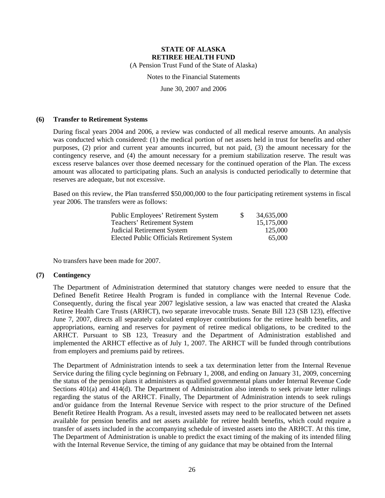(A Pension Trust Fund of the State of Alaska)

### Notes to the Financial Statements

June 30, 2007 and 2006

#### **(6) Transfer to Retirement Systems**

During fiscal years 2004 and 2006, a review was conducted of all medical reserve amounts. An analysis was conducted which considered: (1) the medical portion of net assets held in trust for benefits and other purposes, (2) prior and current year amounts incurred, but not paid, (3) the amount necessary for the contingency reserve, and (4) the amount necessary for a premium stabilization reserve. The result was excess reserve balances over those deemed necessary for the continued operation of the Plan. The excess amount was allocated to participating plans. Such an analysis is conducted periodically to determine that reserves are adequate, but not excessive.

Based on this review, the Plan transferred \$50,000,000 to the four participating retirement systems in fiscal year 2006. The transfers were as follows:

| <b>Public Employees' Retirement System</b>        | <sup>\$</sup> | 34,635,000 |
|---------------------------------------------------|---------------|------------|
| Teachers' Retirement System                       |               | 15,175,000 |
| Judicial Retirement System                        |               | 125,000    |
| <b>Elected Public Officials Retirement System</b> |               | 65,000     |

No transfers have been made for 2007.

#### **(7) Contingency**

The Department of Administration determined that statutory changes were needed to ensure that the Defined Benefit Retiree Health Program is funded in compliance with the Internal Revenue Code. Consequently, during the fiscal year 2007 legislative session, a law was enacted that created the Alaska Retiree Health Care Trusts (ARHCT), two separate irrevocable trusts. Senate Bill 123 (SB 123), effective June 7, 2007, directs all separately calculated employer contributions for the retiree health benefits, and appropriations, earning and reserves for payment of retiree medical obligations, to be credited to the ARHCT. Pursuant to SB 123, Treasury and the Department of Administration established and implemented the ARHCT effective as of July 1, 2007. The ARHCT will be funded through contributions from employers and premiums paid by retirees.

The Department of Administration intends to seek a tax determination letter from the Internal Revenue Service during the filing cycle beginning on February 1, 2008, and ending on January 31, 2009, concerning the status of the pension plans it administers as qualified governmental plans under Internal Revenue Code Sections 401(a) and 414(d). The Department of Administration also intends to seek private letter rulings regarding the status of the ARHCT. Finally, The Department of Administration intends to seek rulings and/or guidance from the Internal Revenue Service with respect to the prior structure of the Defined Benefit Retiree Health Program. As a result, invested assets may need to be reallocated between net assets available for pension benefits and net assets available for retiree health benefits, which could require a transfer of assets included in the accompanying schedule of invested assets into the ARHCT. At this time, The Department of Administration is unable to predict the exact timing of the making of its intended filing with the Internal Revenue Service, the timing of any guidance that may be obtained from the Internal